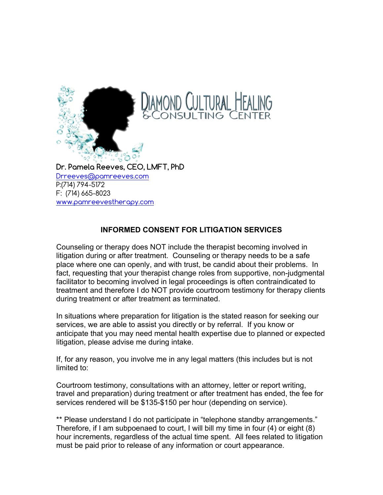

P:(714) 794-5172 F: (714) 665-8023 www.pamreevestherapy.com

## **INFORMED CONSENT FOR LITIGATION SERVICES**

Counseling or therapy does NOT include the therapist becoming involved in litigation during or after treatment. Counseling or therapy needs to be a safe place where one can openly, and with trust, be candid about their problems. In fact, requesting that your therapist change roles from supportive, non-judgmental facilitator to becoming involved in legal proceedings is often contraindicated to treatment and therefore I do NOT provide courtroom testimony for therapy clients during treatment or after treatment as terminated.

In situations where preparation for litigation is the stated reason for seeking our services, we are able to assist you directly or by referral. If you know or anticipate that you may need mental health expertise due to planned or expected litigation, please advise me during intake.

If, for any reason, you involve me in any legal matters (this includes but is not limited to:

Courtroom testimony, consultations with an attorney, letter or report writing, travel and preparation) during treatment or after treatment has ended, the fee for services rendered will be \$135-\$150 per hour (depending on service).

\*\* Please understand I do not participate in "telephone standby arrangements." Therefore, if I am subpoenaed to court, I will bill my time in four (4) or eight (8) hour increments, regardless of the actual time spent. All fees related to litigation must be paid prior to release of any information or court appearance.